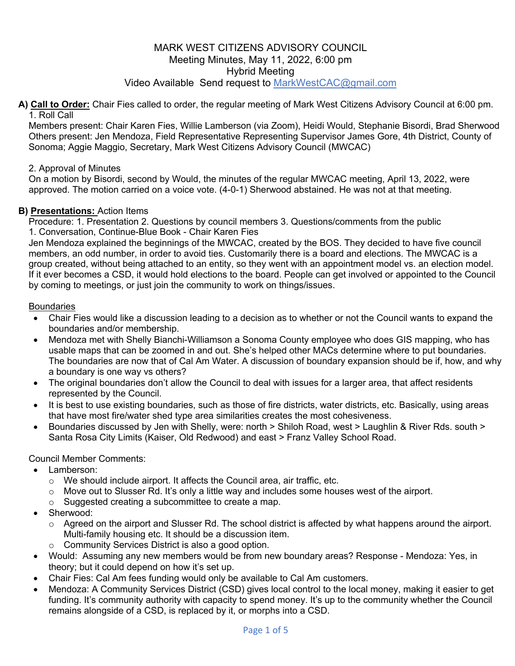# MARK WEST CITIZENS ADVISORY COUNCIL Meeting Minutes, May 11, 2022, 6:00 pm Hybrid Meeting Video Available Send request to MarkWestCAC@gmail.com

#### **A) Call to Order:** Chair Fies called to order, the regular meeting of Mark West Citizens Advisory Council at 6:00 pm. 1. Roll Call

Members present: Chair Karen Fies, Willie Lamberson (via Zoom), Heidi Would, Stephanie Bisordi, Brad Sherwood Others present: Jen Mendoza, Field Representative Representing Supervisor James Gore, 4th District, County of Sonoma; Aggie Maggio, Secretary, Mark West Citizens Advisory Council (MWCAC)

# 2. Approval of Minutes

On a motion by Bisordi, second by Would, the minutes of the regular MWCAC meeting, April 13, 2022, were approved. The motion carried on a voice vote. (4-0-1) Sherwood abstained. He was not at that meeting.

#### **B) Presentations:** Action Items

Procedure: 1. Presentation 2. Questions by council members 3. Questions/comments from the public 1. Conversation, Continue-Blue Book - Chair Karen Fies

Jen Mendoza explained the beginnings of the MWCAC, created by the BOS. They decided to have five council members, an odd number, in order to avoid ties. Customarily there is a board and elections. The MWCAC is a group created, without being attached to an entity, so they went with an appointment model vs. an election model. If it ever becomes a CSD, it would hold elections to the board. People can get involved or appointed to the Council by coming to meetings, or just join the community to work on things/issues.

#### **Boundaries**

- Chair Fies would like a discussion leading to a decision as to whether or not the Council wants to expand the boundaries and/or membership.
- Mendoza met with Shelly Bianchi-Williamson a Sonoma County employee who does GIS mapping, who has usable maps that can be zoomed in and out. She's helped other MACs determine where to put boundaries. The boundaries are now that of Cal Am Water. A discussion of boundary expansion should be if, how, and why a boundary is one way vs others?
- The original boundaries don't allow the Council to deal with issues for a larger area, that affect residents represented by the Council.
- It is best to use existing boundaries, such as those of fire districts, water districts, etc. Basically, using areas that have most fire/water shed type area similarities creates the most cohesiveness.
- Boundaries discussed by Jen with Shelly, were: north > Shiloh Road, west > Laughlin & River Rds. south > Santa Rosa City Limits (Kaiser, Old Redwood) and east > Franz Valley School Road.

# Council Member Comments:

- Lamberson:
	- o We should include airport. It affects the Council area, air traffic, etc.
	- $\circ$  Move out to Slusser Rd. It's only a little way and includes some houses west of the airport.
	- o Suggested creating a subcommittee to create a map.
- Sherwood:
	- o Agreed on the airport and Slusser Rd. The school district is affected by what happens around the airport. Multi-family housing etc. It should be a discussion item.
	- o Community Services District is also a good option.
- Would: Assuming any new members would be from new boundary areas? Response Mendoza: Yes, in theory; but it could depend on how it's set up.
- Chair Fies: Cal Am fees funding would only be available to Cal Am customers.
- Mendoza: A Community Services District (CSD) gives local control to the local money, making it easier to get funding. It's community authority with capacity to spend money. It's up to the community whether the Council remains alongside of a CSD, is replaced by it, or morphs into a CSD.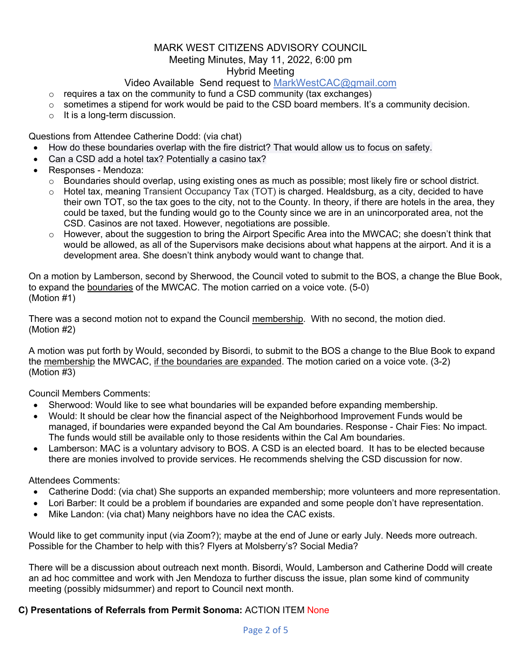# MARK WEST CITIZENS ADVISORY COUNCIL Meeting Minutes, May 11, 2022, 6:00 pm Hybrid Meeting

# Video Available Send request to MarkWestCAC@gmail.com

- $\circ$  requires a tax on the community to fund a CSD community (tax exchanges)
- $\circ$  sometimes a stipend for work would be paid to the CSD board members. It's a community decision.
- o It is a long-term discussion.

Questions from Attendee Catherine Dodd: (via chat)

- How do these boundaries overlap with the fire district? That would allow us to focus on safety.
- Can a CSD add a hotel tax? Potentially a casino tax?
- Responses Mendoza:
	- $\circ$  Boundaries should overlap, using existing ones as much as possible; most likely fire or school district.
	- o Hotel tax, meaning Transient Occupancy Tax (TOT) is charged. Healdsburg, as a city, decided to have their own TOT, so the tax goes to the city, not to the County. In theory, if there are hotels in the area, they could be taxed, but the funding would go to the County since we are in an unincorporated area, not the CSD. Casinos are not taxed. However, negotiations are possible.
	- $\circ$  However, about the suggestion to bring the Airport Specific Area into the MWCAC; she doesn't think that would be allowed, as all of the Supervisors make decisions about what happens at the airport. And it is a development area. She doesn't think anybody would want to change that.

On a motion by Lamberson, second by Sherwood, the Council voted to submit to the BOS, a change the Blue Book, to expand the boundaries of the MWCAC. The motion carried on a voice vote. (5-0) (Motion #1)

There was a second motion not to expand the Council membership. With no second, the motion died. (Motion #2)

A motion was put forth by Would, seconded by Bisordi, to submit to the BOS a change to the Blue Book to expand the membership the MWCAC, if the boundaries are expanded. The motion caried on a voice vote. (3-2) (Motion #3)

Council Members Comments:

- Sherwood: Would like to see what boundaries will be expanded before expanding membership.
- Would: It should be clear how the financial aspect of the Neighborhood Improvement Funds would be managed, if boundaries were expanded beyond the Cal Am boundaries. Response - Chair Fies: No impact. The funds would still be available only to those residents within the Cal Am boundaries.
- Lamberson: MAC is a voluntary advisory to BOS. A CSD is an elected board. It has to be elected because there are monies involved to provide services. He recommends shelving the CSD discussion for now.

Attendees Comments:

- Catherine Dodd: (via chat) She supports an expanded membership; more volunteers and more representation.
- Lori Barber: It could be a problem if boundaries are expanded and some people don't have representation.
- Mike Landon: (via chat) Many neighbors have no idea the CAC exists.

Would like to get community input (via Zoom?); maybe at the end of June or early July. Needs more outreach. Possible for the Chamber to help with this? Flyers at Molsberry's? Social Media?

There will be a discussion about outreach next month. Bisordi, Would, Lamberson and Catherine Dodd will create an ad hoc committee and work with Jen Mendoza to further discuss the issue, plan some kind of community meeting (possibly midsummer) and report to Council next month.

# **C) Presentations of Referrals from Permit Sonoma:** ACTION ITEM None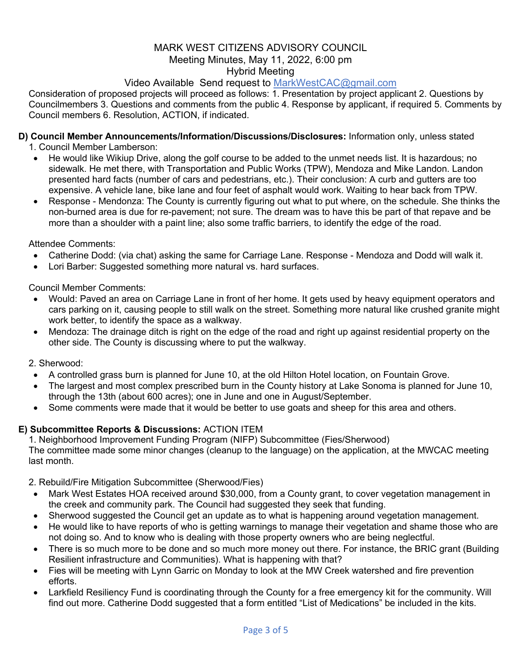# MARK WEST CITIZENS ADVISORY COUNCIL Meeting Minutes, May 11, 2022, 6:00 pm Hybrid Meeting

# Video Available Send request to MarkWestCAC@gmail.com

Consideration of proposed projects will proceed as follows: 1. Presentation by project applicant 2. Questions by Councilmembers 3. Questions and comments from the public 4. Response by applicant, if required 5. Comments by Council members 6. Resolution, ACTION, if indicated.

# **D) Council Member Announcements/Information/Discussions/Disclosures:** Information only, unless stated

1. Council Member Lamberson:

- He would like Wikiup Drive, along the golf course to be added to the unmet needs list. It is hazardous; no sidewalk. He met there, with Transportation and Public Works (TPW), Mendoza and Mike Landon. Landon presented hard facts (number of cars and pedestrians, etc.). Their conclusion: A curb and gutters are too expensive. A vehicle lane, bike lane and four feet of asphalt would work. Waiting to hear back from TPW.
- Response Mendonza: The County is currently figuring out what to put where, on the schedule. She thinks the non-burned area is due for re-pavement; not sure. The dream was to have this be part of that repave and be more than a shoulder with a paint line; also some traffic barriers, to identify the edge of the road.

Attendee Comments:

- Catherine Dodd: (via chat) asking the same for Carriage Lane. Response Mendoza and Dodd will walk it.
- Lori Barber: Suggested something more natural vs. hard surfaces.

Council Member Comments:

- Would: Paved an area on Carriage Lane in front of her home. It gets used by heavy equipment operators and cars parking on it, causing people to still walk on the street. Something more natural like crushed granite might work better, to identify the space as a walkway.
- Mendoza: The drainage ditch is right on the edge of the road and right up against residential property on the other side. The County is discussing where to put the walkway.
- 2. Sherwood:
	- A controlled grass burn is planned for June 10, at the old Hilton Hotel location, on Fountain Grove.
- The largest and most complex prescribed burn in the County history at Lake Sonoma is planned for June 10, through the 13th (about 600 acres); one in June and one in August/September.
- Some comments were made that it would be better to use goats and sheep for this area and others.

# **E) Subcommittee Reports & Discussions:** ACTION ITEM

1. Neighborhood Improvement Funding Program (NIFP) Subcommittee (Fies/Sherwood) The committee made some minor changes (cleanup to the language) on the application, at the MWCAC meeting last month.

2. Rebuild/Fire Mitigation Subcommittee (Sherwood/Fies)

- Mark West Estates HOA received around \$30,000, from a County grant, to cover vegetation management in the creek and community park. The Council had suggested they seek that funding.
- Sherwood suggested the Council get an update as to what is happening around vegetation management.
- He would like to have reports of who is getting warnings to manage their vegetation and shame those who are not doing so. And to know who is dealing with those property owners who are being neglectful.
- There is so much more to be done and so much more money out there. For instance, the BRIC grant (Building Resilient infrastructure and Communities). What is happening with that?
- Fies will be meeting with Lynn Garric on Monday to look at the MW Creek watershed and fire prevention efforts.
- Larkfield Resiliency Fund is coordinating through the County for a free emergency kit for the community. Will find out more. Catherine Dodd suggested that a form entitled "List of Medications" be included in the kits.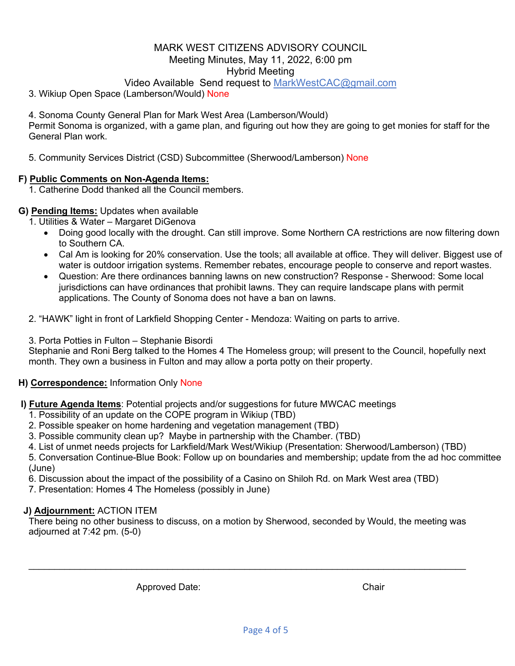## MARK WEST CITIZENS ADVISORY COUNCIL Meeting Minutes, May 11, 2022, 6:00 pm Hybrid Meeting

# Video Available Send request to MarkWestCAC@gmail.com

3. Wikiup Open Space (Lamberson/Would) None

4. Sonoma County General Plan for Mark West Area (Lamberson/Would) Permit Sonoma is organized, with a game plan, and figuring out how they are going to get monies for staff for the General Plan work.

5. Community Services District (CSD) Subcommittee (Sherwood/Lamberson) None

#### **F) Public Comments on Non-Agenda Items:**

1. Catherine Dodd thanked all the Council members.

# **G) Pending Items:** Updates when available

1. Utilities & Water – Margaret DiGenova

- Doing good locally with the drought. Can still improve. Some Northern CA restrictions are now filtering down to Southern CA.
- Cal Am is looking for 20% conservation. Use the tools; all available at office. They will deliver. Biggest use of water is outdoor irrigation systems. Remember rebates, encourage people to conserve and report wastes.
- Question: Are there ordinances banning lawns on new construction? Response Sherwood: Some local jurisdictions can have ordinances that prohibit lawns. They can require landscape plans with permit applications. The County of Sonoma does not have a ban on lawns.

2. "HAWK" light in front of Larkfield Shopping Center - Mendoza: Waiting on parts to arrive.

3. Porta Potties in Fulton – Stephanie Bisordi

Stephanie and Roni Berg talked to the Homes 4 The Homeless group; will present to the Council, hopefully next month. They own a business in Fulton and may allow a porta potty on their property.

# **H) Correspondence:** Information Only None

**I) Future Agenda Items**: Potential projects and/or suggestions for future MWCAC meetings

- 1. Possibility of an update on the COPE program in Wikiup (TBD)
- 2. Possible speaker on home hardening and vegetation management (TBD)
- 3. Possible community clean up? Maybe in partnership with the Chamber. (TBD)
- 4. List of unmet needs projects for Larkfield/Mark West/Wikiup (Presentation: Sherwood/Lamberson) (TBD)

5. Conversation Continue-Blue Book: Follow up on boundaries and membership; update from the ad hoc committee (June)

6. Discussion about the impact of the possibility of a Casino on Shiloh Rd. on Mark West area (TBD)

7. Presentation: Homes 4 The Homeless (possibly in June)

#### **J) Adjournment:** ACTION ITEM

There being no other business to discuss, on a motion by Sherwood, seconded by Would, the meeting was adjourned at 7:42 pm. (5-0)

 $\_$ 

Approved Date: Chair